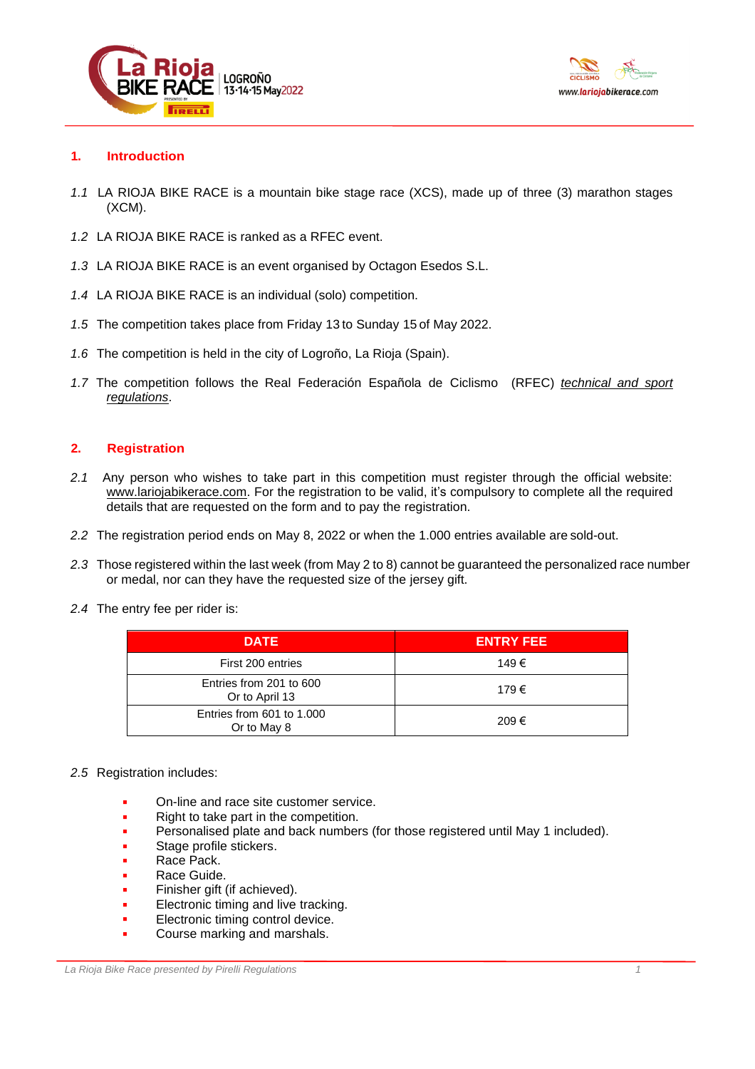



# **1. Introduction**

- *1.1* LA RIOJA BIKE RACE is a mountain bike stage race (XCS), made up of three (3) marathon stages (XCM).
- *1.2* LA RIOJA BIKE RACE is ranked as a RFEC event.
- *1.3* LA RIOJA BIKE RACE is an event organised by Octagon Esedos S.L.
- *1.4* LA RIOJA BIKE RACE is an individual (solo) competition.
- *1.5* The competition takes place from Friday 13 to Sunday 15 of May 2022.
- *1.6* The competition is held in the city of Logroño, La Rioja (Spain).
- *1.7* The competition follows the Real Federación Española de Ciclismo (RFEC) *[technical](https://rfec.com/index.php/es/smartweb/seccion/seccion/rfec/Reglamento-del-Deporte-Ciclista-Uci) and sport [regulations](https://rfec.com/index.php/es/smartweb/seccion/seccion/rfec/Reglamento-del-Deporte-Ciclista-Uci)*.

# **2. Registration**

- *2.1* Any person who wishes to take part in this competition must register through the official website: [www.lariojabikerace.com.](http://www.lariojabikerace.com/) For the registration to be valid, it's compulsory to complete all the required details that are requested on the form and to pay the registration.
- *2.2* The registration period ends on May 8, 2022 or when the 1.000 entries available are sold-out.
- *2.3* Those registered within the last week (from May 2 to 8) cannot be guaranteed the personalized race number or medal, nor can they have the requested size of the jersey gift.
- *2.4* The entry fee per rider is:

| <b>DATE</b>                               | <b>ENTRY FEE</b> |
|-------------------------------------------|------------------|
| First 200 entries                         | 149€             |
| Entries from 201 to 600<br>Or to April 13 | 179€             |
| Entries from 601 to 1,000<br>Or to May 8  | 209€             |

### *2.5* Registration includes:

- On-line and race site customer service.
- Right to take part in the competition.
- Personalised plate and back numbers (for those registered until May 1 included).
- Stage profile stickers.
- Race Pack.
- Race Guide.
- Finisher gift (if achieved).
- Electronic timing and live tracking.
- Electronic timing control device.
- Course marking and marshals.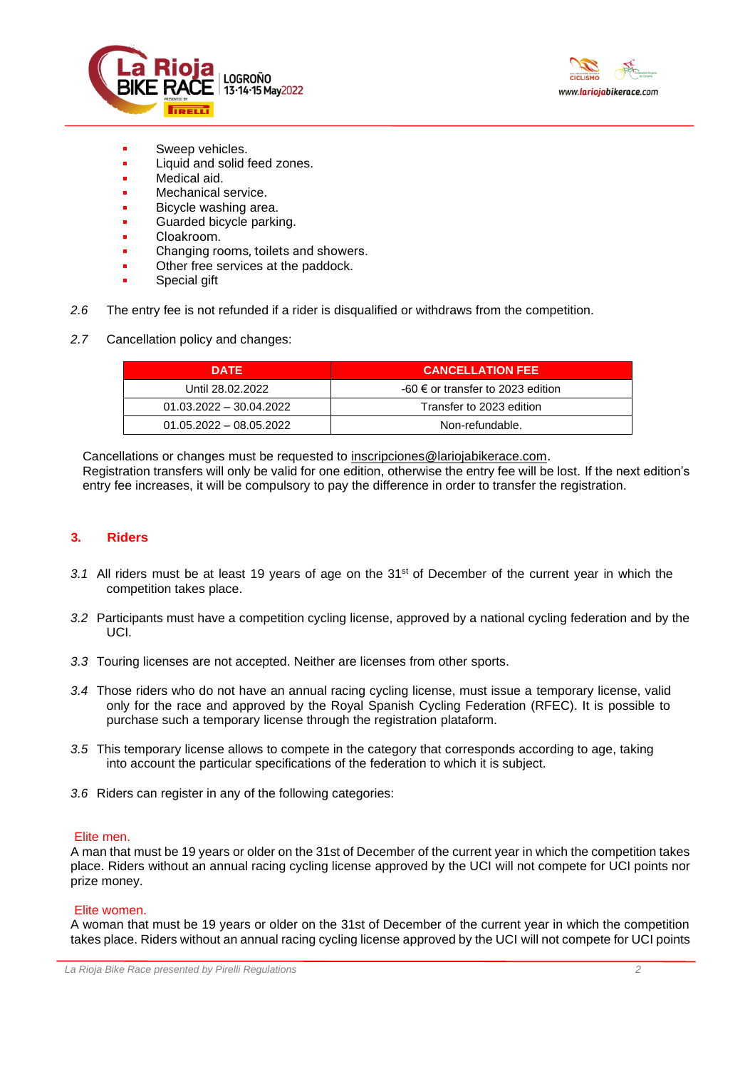



- Sweep vehicles.
- Liquid and solid feed zones.
- Medical aid.
- Mechanical service.
- Bicycle washing area.
- Guarded bicycle parking.
- Cloakroom.
- Changing rooms, toilets and showers.
- Other free services at the paddock.
- Special gift
- *2.6* The entry fee is not refunded if a rider is disqualified or withdraws from the competition.
- *2.7* Cancellation policy and changes:

| <b>DATE</b>               | <b>CANCELLATION FEE</b>                      |  |
|---------------------------|----------------------------------------------|--|
| Until 28.02.2022          | $-60 \in \text{or transfer}$ to 2023 edition |  |
| $01.03.2022 - 30.04.2022$ | Transfer to 2023 edition                     |  |
| $01.05.2022 - 08.05.2022$ | Non-refundable.                              |  |

Cancellations or changes must be requested to [inscripciones@lariojabikerace.com](mailto:inscripciones@lariojabikerace.com).

Registration transfers will only be valid for one edition, otherwise the entry fee will be lost. If the next edition's entry fee increases, it will be compulsory to pay the difference in order to transfer the registration.

# **3. Riders**

- *3.1* All riders must be at least 19 years of age on the 31st of December of the current year in which the competition takes place.
- *3.2* Participants must have a competition cycling license, approved by a national cycling federation and by the UCI.
- *3.3* Touring licenses are not accepted. Neither are licenses from other sports.
- *3.4* Those riders who do not have an annual racing cycling license, must issue a temporary license, valid only for the race and approved by the Royal Spanish Cycling Federation (RFEC). It is possible to purchase such a temporary license through the registration plataform.
- *3.5* This temporary license allows to compete in the category that corresponds according to age, taking into account the particular specifications of the federation to which it is subject.
- *3.6* Riders can register in any of the following categories:

### Elite men.

A man that must be 19 years or older on the 31st of December of the current year in which the competition takes place. Riders without an annual racing cycling license approved by the UCI will not compete for UCI points nor prize money.

### Elite women.

A woman that must be 19 years or older on the 31st of December of the current year in which the competition takes place. Riders without an annual racing cycling license approved by the UCI will not compete for UCI points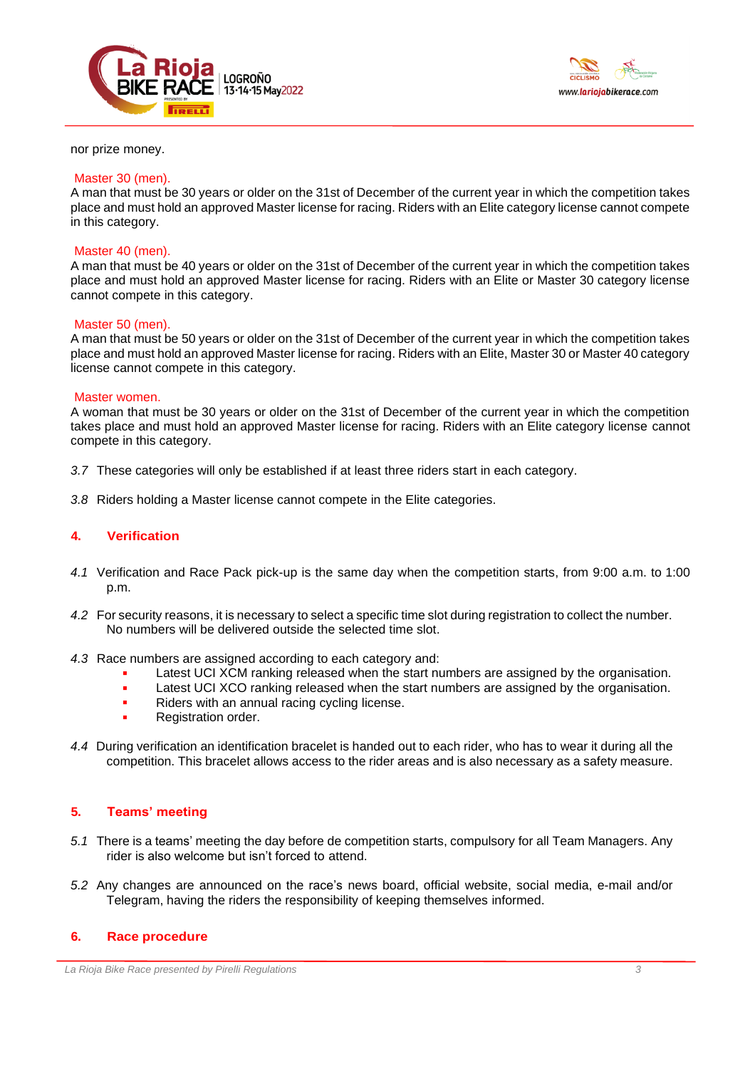



#### nor prize money.

#### Master 30 (men).

A man that must be 30 years or older on the 31st of December of the current year in which the competition takes place and must hold an approved Master license for racing. Riders with an Elite category license cannot compete in this category.

### Master 40 (men).

A man that must be 40 years or older on the 31st of December of the current year in which the competition takes place and must hold an approved Master license for racing. Riders with an Elite or Master 30 category license cannot compete in this category.

### Master 50 (men).

A man that must be 50 years or older on the 31st of December of the current year in which the competition takes place and must hold an approved Master license for racing. Riders with an Elite, Master 30 or Master 40 category license cannot compete in this category.

#### Master women.

A woman that must be 30 years or older on the 31st of December of the current year in which the competition takes place and must hold an approved Master license for racing. Riders with an Elite category license cannot compete in this category.

- *3.7* These categories will only be established if at least three riders start in each category.
- *3.8* Riders holding a Master license cannot compete in the Elite categories.

### **4. Verification**

- *4.1* Verification and Race Pack pick-up is the same day when the competition starts, from 9:00 a.m. to 1:00 p.m.
- *4.2* For security reasons, it is necessary to select a specific time slot during registration to collect the number. No numbers will be delivered outside the selected time slot.
- *4.3* Race numbers are assigned according to each category and:
	- Latest UCI XCM ranking released when the start numbers are assigned by the organisation.
	- **EXECUTE 1.5 Latest UCI XCO ranking released when the start numbers are assigned by the organisation.**
	- **Riders with an annual racing cycling license.**
	- Registration order.
- *4.4* During verification an identification bracelet is handed out to each rider, who has to wear it during all the competition. This bracelet allows access to the rider areas and is also necessary as a safety measure.

### **5. Teams' meeting**

- *5.1* There is a teams' meeting the day before de competition starts, compulsory for all Team Managers. Any rider is also welcome but isn't forced to attend.
- *5.2* Any changes are announced on the race's news board, official website, social media, e-mail and/or Telegram, having the riders the responsibility of keeping themselves informed.

# **6. Race procedure**

*La Rioja Bike Race presented by Pirelli Regulations 3*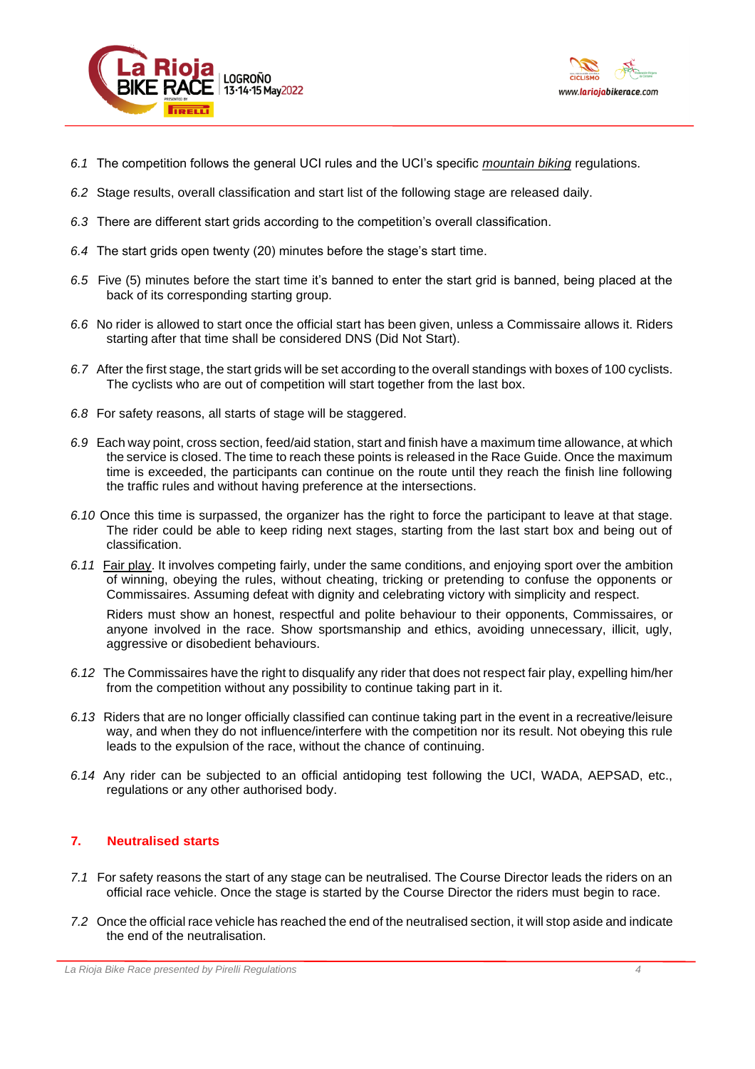



- *6.1* The competition follows the general UCI rules and the UCI's specific *[mountain biking](http://www.uci.ch/mm/Document/News/Rulesandregulation/16/72/76/MTBReglementsENG_English.pdf)* regulations.
- *6.2* Stage results, overall classification and start list of the following stage are released daily.
- *6.3* There are different start grids according to the competition's overall classification.
- *6.4* The start grids open twenty (20) minutes before the stage's start time.
- *6.5* Five (5) minutes before the start time it's banned to enter the start grid is banned, being placed at the back of its corresponding starting group.
- *6.6* No rider is allowed to start once the official start has been given, unless a Commissaire allows it. Riders starting after that time shall be considered DNS (Did Not Start).
- *6.7* After the first stage, the start grids will be set according to the overall standings with boxes of 100 cyclists. The cyclists who are out of competition will start together from the last box.
- *6.8* For safety reasons, all starts of stage will be staggered.
- *6.9* Each way point, cross section, feed/aid station, start and finish have a maximum time allowance, at which the service is closed. The time to reach these points is released in the Race Guide. Once the maximum time is exceeded, the participants can continue on the route until they reach the finish line following the traffic rules and without having preference at the intersections.
- *6.10* Once this time is surpassed, the organizer has the right to force the participant to leave at that stage. The rider could be able to keep riding next stages, starting from the last start box and being out of classification.
- *6.11* Fair play. It involves competing fairly, under the same conditions, and enjoying sport over the ambition of winning, obeying the rules, without cheating, tricking or pretending to confuse the opponents or Commissaires. Assuming defeat with dignity and celebrating victory with simplicity and respect.

Riders must show an honest, respectful and polite behaviour to their opponents, Commissaires, or anyone involved in the race. Show sportsmanship and ethics, avoiding unnecessary, illicit, ugly, aggressive or disobedient behaviours.

- *6.12* The Commissaires have the right to disqualify any rider that does not respect fair play, expelling him/her from the competition without any possibility to continue taking part in it.
- *6.13* Riders that are no longer officially classified can continue taking part in the event in a recreative/leisure way, and when they do not influence/interfere with the competition nor its result. Not obeying this rule leads to the expulsion of the race, without the chance of continuing.
- *6.14* Any rider can be subjected to an official antidoping test following the UCI, WADA, AEPSAD, etc., regulations or any other authorised body.

# **7. Neutralised starts**

- *7.1* For safety reasons the start of any stage can be neutralised. The Course Director leads the riders on an official race vehicle. Once the stage is started by the Course Director the riders must begin to race.
- *7.2* Once the official race vehicle has reached the end of the neutralised section, it will stop aside and indicate the end of the neutralisation.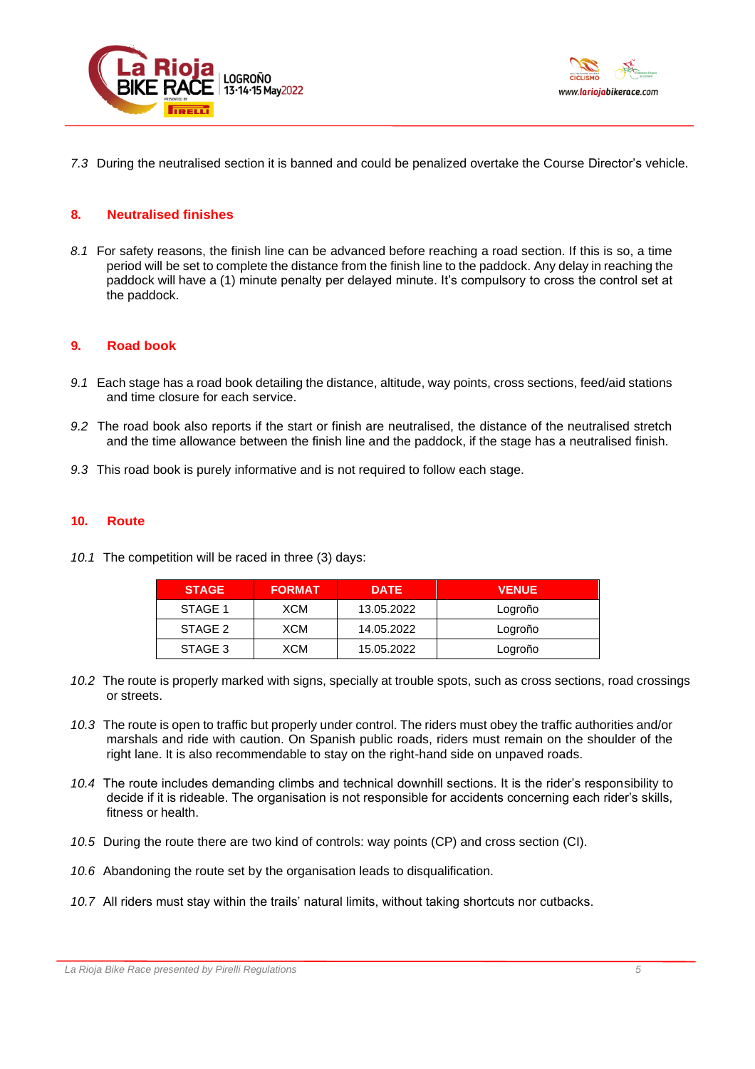



*7.3* During the neutralised section it is banned and could be penalized overtake the Course Director's vehicle.

### **8. Neutralised finishes**

*8.1* For safety reasons, the finish line can be advanced before reaching a road section. If this is so, a time period will be set to complete the distance from the finish line to the paddock. Any delay in reaching the paddock will have a (1) minute penalty per delayed minute. It's compulsory to cross the control set at the paddock.

### **9. Road book**

- *9.1* Each stage has a road book detailing the distance, altitude, way points, cross sections, feed/aid stations and time closure for each service.
- *9.2* The road book also reports if the start or finish are neutralised, the distance of the neutralised stretch and the time allowance between the finish line and the paddock, if the stage has a neutralised finish.
- *9.3* This road book is purely informative and is not required to follow each stage.

### **10. Route**

*10.1* The competition will be raced in three (3) days:

| <b>STAGE</b> | <b>FORMAT</b> | <b>DATE</b> | <b>VENUE</b> |
|--------------|---------------|-------------|--------------|
| STAGE 1      | XCM           | 13.05.2022  | Logroño      |
| STAGE 2      | XCM           | 14.05.2022  | Logroño      |
| STAGE 3      | XCM           | 15.05.2022  | Logroño      |

- *10.2* The route is properly marked with signs, specially at trouble spots, such as cross sections, road crossings or streets.
- *10.3* The route is open to traffic but properly under control. The riders must obey the traffic authorities and/or marshals and ride with caution. On Spanish public roads, riders must remain on the shoulder of the right lane. It is also recommendable to stay on the right-hand side on unpaved roads.
- *10.4* The route includes demanding climbs and technical downhill sections. It is the rider's responsibility to decide if it is rideable. The organisation is not responsible for accidents concerning each rider's skills, fitness or health.
- *10.5* During the route there are two kind of controls: way points (CP) and cross section (CI).
- *10.6* Abandoning the route set by the organisation leads to disqualification.
- *10.7* All riders must stay within the trails' natural limits, without taking shortcuts nor cutbacks.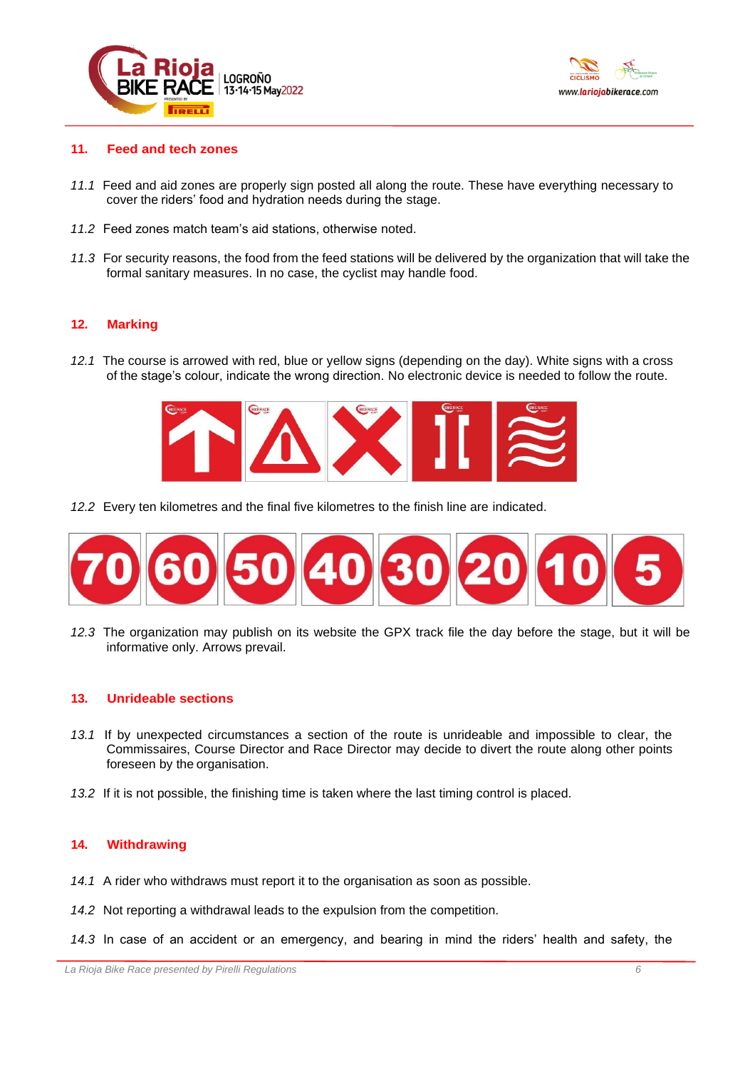



### **11. Feed and tech zones**

- *11.1* Feed and aid zones are properly sign posted all along the route. These have everything necessary to cover the riders' food and hydration needs during the stage.
- *11.2* Feed zones match team's aid stations, otherwise noted.
- *11.3* For security reasons, the food from the feed stations will be delivered by the organization that will take the formal sanitary measures. In no case, the cyclist may handle food.

# **12. Marking**

*12.1* The course is arrowed with red, blue or yellow signs (depending on the day). White signs with a cross of the stage's colour, indicate the wrong direction. No electronic device is needed to follow the route.



*12.2* Every ten kilometres and the final five kilometres to the finish line are indicated.



*12.3* The organization may publish on its website the GPX track file the day before the stage, but it will be informative only. Arrows prevail.

# **13. Unrideable sections**

- *13.1* If by unexpected circumstances a section of the route is unrideable and impossible to clear, the Commissaires, Course Director and Race Director may decide to divert the route along other points foreseen by the organisation.
- *13.2* If it is not possible, the finishing time is taken where the last timing control is placed.

### **14. Withdrawing**

- *14.1* A rider who withdraws must report it to the organisation as soon as possible.
- *14.2* Not reporting a withdrawal leads to the expulsion from the competition.
- *14.3* In case of an accident or an emergency, and bearing in mind the riders' health and safety, the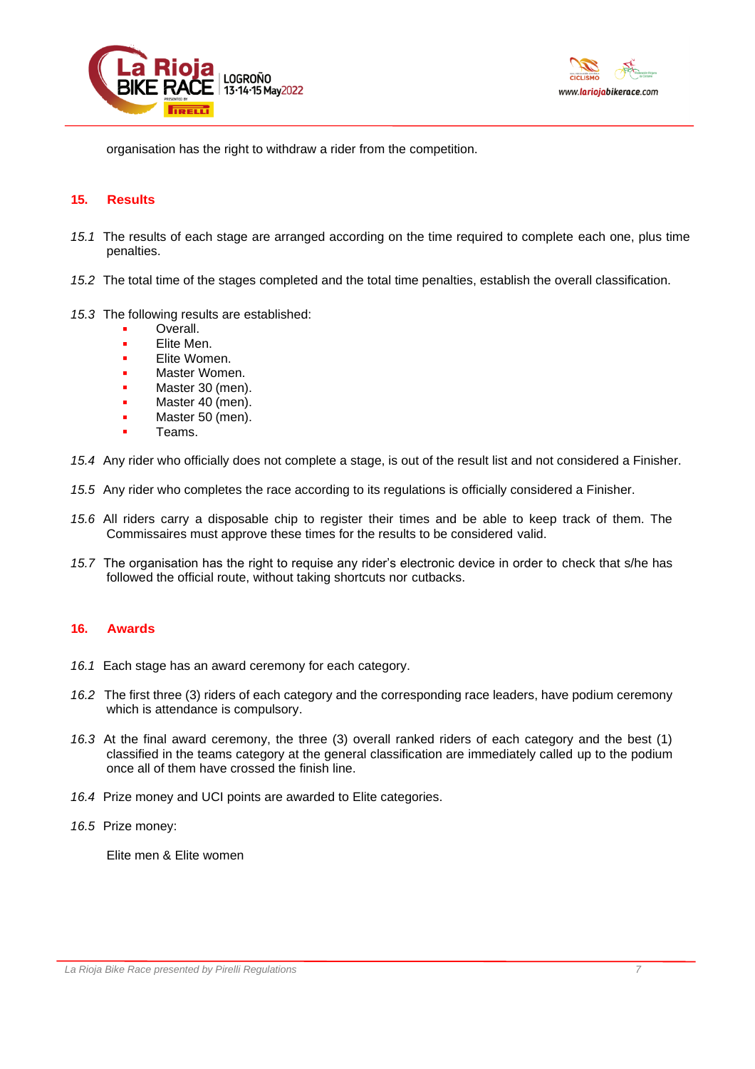



organisation has the right to withdraw a rider from the competition.

### **15. Results**

- *15.1* The results of each stage are arranged according on the time required to complete each one, plus time penalties.
- *15.2* The total time of the stages completed and the total time penalties, establish the overall classification.
- *15.3* The following results are established:
	- Overall.
	- Elite Men.
	- Elite Women.
	- Master Women.
	- Master 30 (men).
	- Master 40 (men).
	- Master 50 (men).
	- Teams.
- *15.4* Any rider who officially does not complete a stage, is out of the result list and not considered a Finisher.
- *15.5* Any rider who completes the race according to its regulations is officially considered a Finisher.
- *15.6* All riders carry a disposable chip to register their times and be able to keep track of them. The Commissaires must approve these times for the results to be considered valid.
- *15.7* The organisation has the right to requise any rider's electronic device in order to check that s/he has followed the official route, without taking shortcuts nor cutbacks.

# **16. Awards**

- *16.1* Each stage has an award ceremony for each category.
- *16.2* The first three (3) riders of each category and the corresponding race leaders, have podium ceremony which is attendance is compulsory.
- *16.3* At the final award ceremony, the three (3) overall ranked riders of each category and the best (1) classified in the teams category at the general classification are immediately called up to the podium once all of them have crossed the finish line.
- *16.4* Prize money and UCI points are awarded to Elite categories.
- *16.5* Prize money:

Elite men & Elite women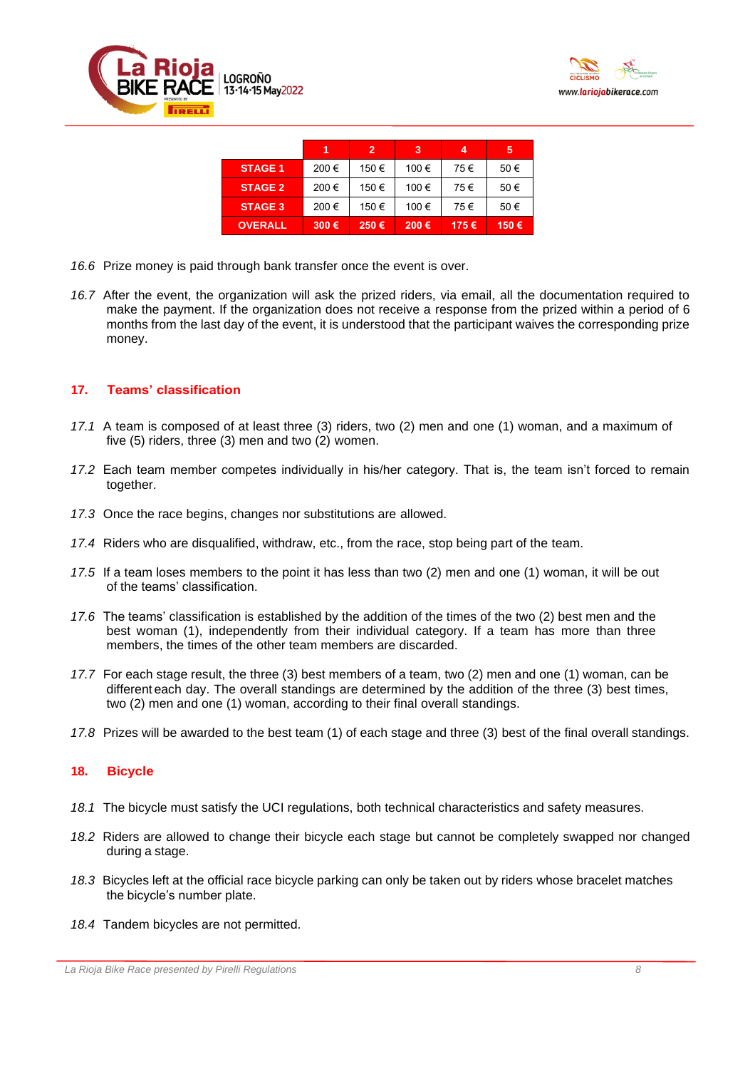



|                |      | $\overline{2}$ | 3     | 4    | 5    |
|----------------|------|----------------|-------|------|------|
| <b>STAGE 1</b> | 200€ | 150 €          | 100€  | 75€  | 50€  |
| <b>STAGE 2</b> | 200€ | 150€           | 100 € | 75€  | 50€  |
| <b>STAGE 3</b> | 200€ | 150€           | 100€  | 75€  | 50€  |
| <b>OVERALL</b> | 300€ | 250€           | 200€  | 175€ | 150€ |

- *16.6* Prize money is paid through bank transfer once the event is over.
- *16.7* After the event, the organization will ask the prized riders, via email, all the documentation required to make the payment. If the organization does not receive a response from the prized within a period of 6 months from the last day of the event, it is understood that the participant waives the corresponding prize money.

# **17. Teams' classification**

- *17.1* A team is composed of at least three (3) riders, two (2) men and one (1) woman, and a maximum of five (5) riders, three (3) men and two (2) women.
- *17.2* Each team member competes individually in his/her category. That is, the team isn't forced to remain together.
- *17.3* Once the race begins, changes nor substitutions are allowed.
- *17.4* Riders who are disqualified, withdraw, etc., from the race, stop being part of the team.
- *17.5* If a team loses members to the point it has less than two (2) men and one (1) woman, it will be out of the teams' classification.
- *17.6* The teams' classification is established by the addition of the times of the two (2) best men and the best woman (1), independently from their individual category. If a team has more than three members, the times of the other team members are discarded.
- *17.7* For each stage result, the three (3) best members of a team, two (2) men and one (1) woman, can be different each day. The overall standings are determined by the addition of the three (3) best times, two (2) men and one (1) woman, according to their final overall standings.
- *17.8* Prizes will be awarded to the best team (1) of each stage and three (3) best of the final overall standings.

# **18. Bicycle**

- *18.1* The bicycle must satisfy the UCI regulations, both technical characteristics and safety measures.
- *18.2* Riders are allowed to change their bicycle each stage but cannot be completely swapped nor changed during a stage.
- *18.3* Bicycles left at the official race bicycle parking can only be taken out by riders whose bracelet matches the bicycle's number plate.
- *18.4* Tandem bicycles are not permitted.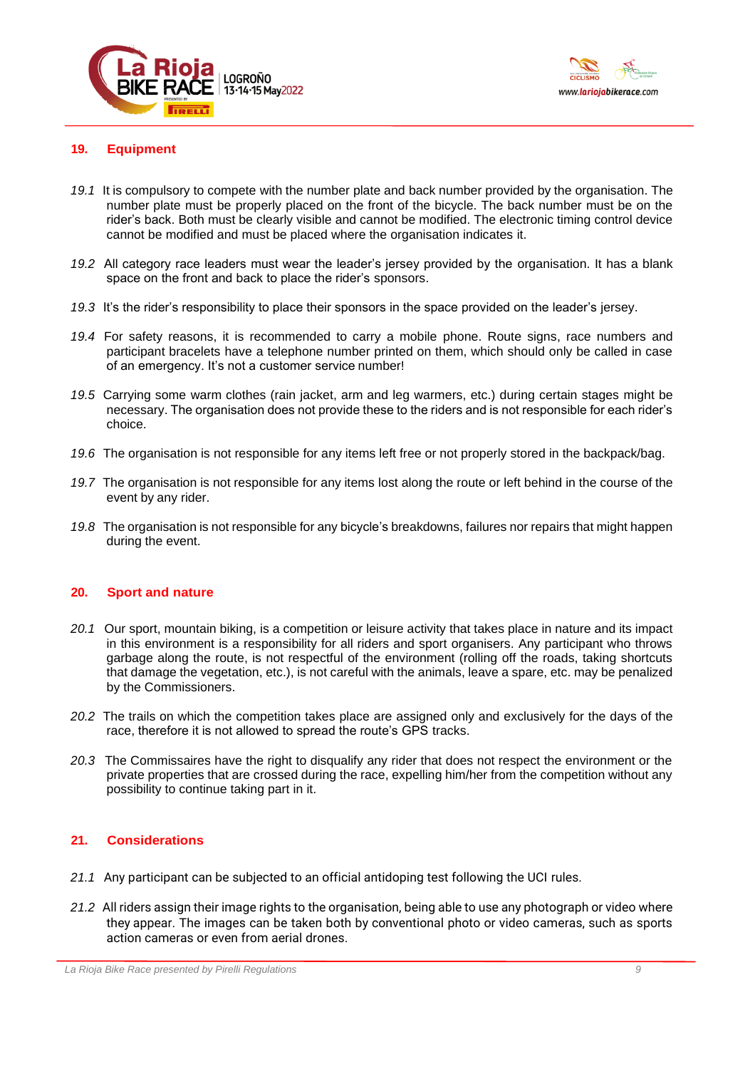



# **19. Equipment**

- *19.1* It is compulsory to compete with the number plate and back number provided by the organisation. The number plate must be properly placed on the front of the bicycle. The back number must be on the rider's back. Both must be clearly visible and cannot be modified. The electronic timing control device cannot be modified and must be placed where the organisation indicates it.
- *19.2* All category race leaders must wear the leader's jersey provided by the organisation. It has a blank space on the front and back to place the rider's sponsors.
- *19.3* It's the rider's responsibility to place their sponsors in the space provided on the leader's jersey.
- *19.4* For safety reasons, it is recommended to carry a mobile phone. Route signs, race numbers and participant bracelets have a telephone number printed on them, which should only be called in case of an emergency. It's not a customer service number!
- *19.5* Carrying some warm clothes (rain jacket, arm and leg warmers, etc.) during certain stages might be necessary. The organisation does not provide these to the riders and is not responsible for each rider's choice.
- *19.6* The organisation is not responsible for any items left free or not properly stored in the backpack/bag.
- *19.7* The organisation is not responsible for any items lost along the route or left behind in the course of the event by any rider.
- *19.8* The organisation is not responsible for any bicycle's breakdowns, failures nor repairs that might happen during the event.

### **20. Sport and nature**

- *20.1* Our sport, mountain biking, is a competition or leisure activity that takes place in nature and its impact in this environment is a responsibility for all riders and sport organisers. Any participant who throws garbage along the route, is not respectful of the environment (rolling off the roads, taking shortcuts that damage the vegetation, etc.), is not careful with the animals, leave a spare, etc. may be penalized by the Commissioners.
- *20.2* The trails on which the competition takes place are assigned only and exclusively for the days of the race, therefore it is not allowed to spread the route's GPS tracks.
- *20.3* The Commissaires have the right to disqualify any rider that does not respect the environment or the private properties that are crossed during the race, expelling him/her from the competition without any possibility to continue taking part in it.

# **21. Considerations**

- *21.1* Any participant can be subjected to an official antidoping test following the UCI rules.
- *21.2* All riders assign their image rights to the organisation, being able to use any photograph or video where they appear. The images can be taken both by conventional photo or video cameras, such as sports action cameras or even from aerial drones.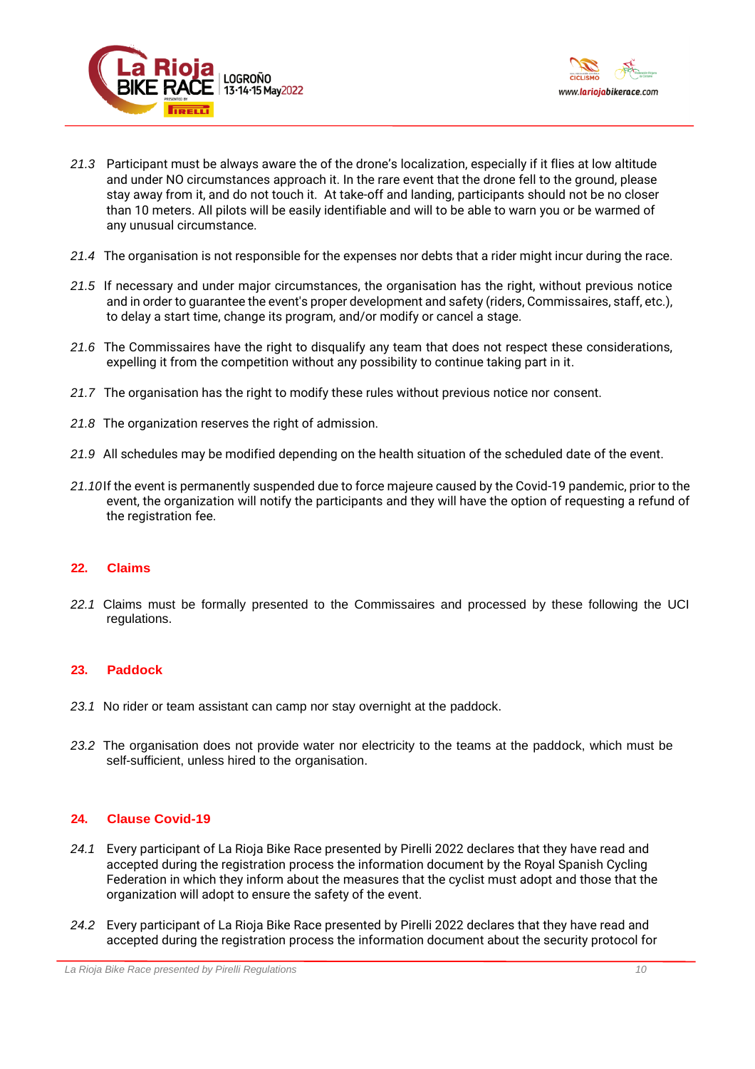



- *21.3* Participant must be always aware the of the drone's localization, especially if it flies at low altitude and under NO circumstances approach it. In the rare event that the drone fell to the ground, please stay away from it, and do not touch it. At take-off and landing, participants should not be no closer than 10 meters. All pilots will be easily identifiable and will to be able to warn you or be warmed of any unusual circumstance.
- *21.4* The organisation is not responsible for the expenses nor debts that a rider might incur during the race.
- *21.5* If necessary and under major circumstances, the organisation has the right, without previous notice and in order to guarantee the event's proper development and safety (riders, Commissaires, staff, etc.), to delay a start time, change its program, and/or modify or cancel a stage.
- *21.6* The Commissaires have the right to disqualify any team that does not respect these considerations, expelling it from the competition without any possibility to continue taking part in it.
- *21.7* The organisation has the right to modify these rules without previous notice nor consent.
- *21.8* The organization reserves the right of admission.
- *21.9* All schedules may be modified depending on the health situation of the scheduled date of the event.
- *21.10*If the event is permanently suspended due to force majeure caused by the Covid-19 pandemic, prior to the event, the organization will notify the participants and they will have the option of requesting a refund of the registration fee.

# **22. Claims**

*22.1* Claims must be formally presented to the Commissaires and processed by these following the UCI regulations.

# **23. Paddock**

- *23.1* No rider or team assistant can camp nor stay overnight at the paddock.
- *23.2* The organisation does not provide water nor electricity to the teams at the paddock, which must be self-sufficient, unless hired to the organisation.

# **24. Clause Covid-19**

- *24.1* Every participant of La Rioja Bike Race presented by Pirelli 2022 declares that they have read and accepted during the registration process the information document by the Royal Spanish Cycling Federation in which they inform about the measures that the cyclist must adopt and those that the organization will adopt to ensure the safety of the event.
- *24.2* Every participant of La Rioja Bike Race presented by Pirelli 2022 declares that they have read and accepted during the registration process the information document about the security protocol for